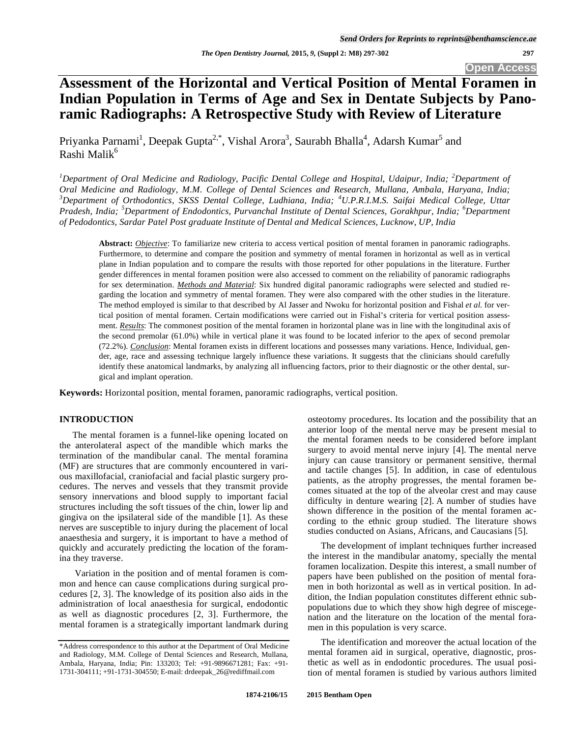# **Assessment of the Horizontal and Vertical Position of Mental Foramen in Indian Population in Terms of Age and Sex in Dentate Subjects by Panoramic Radiographs: A Retrospective Study with Review of Literature**

Priyanka Parnami<sup>1</sup>, Deepak Gupta<sup>2,\*</sup>, Vishal Arora<sup>3</sup>, Saurabh Bhalla<sup>4</sup>, Adarsh Kumar<sup>5</sup> and Rashi Malik<sup>6</sup>

<sup>1</sup>Department of Oral Medicine and Radiology, Pacific Dental College and Hospital, Udaipur, India; <sup>2</sup>Department of *Oral Medicine and Radiology, M.M. College of Dental Sciences and Research, Mullana, Ambala, Haryana, India; 3 Department of Orthodontics, SKSS Dental College, Ludhiana, India; <sup>4</sup> U.P.R.I.M.S. Saifai Medical College, Uttar Pradesh, India; <sup>5</sup> Department of Endodontics, Purvanchal Institute of Dental Sciences, Gorakhpur, India; <sup>6</sup> Department of Pedodontics, Sardar Patel Post graduate Institute of Dental and Medical Sciences, Lucknow, UP, India* 

**Abstract:** *Objective*: To familiarize new criteria to access vertical position of mental foramen in panoramic radiographs. Furthermore, to determine and compare the position and symmetry of mental foramen in horizontal as well as in vertical plane in Indian population and to compare the results with those reported for other populations in the literature. Further gender differences in mental foramen position were also accessed to comment on the reliability of panoramic radiographs for sex determination. *Methods and Material*: Six hundred digital panoramic radiographs were selected and studied regarding the location and symmetry of mental foramen. They were also compared with the other studies in the literature. The method employed is similar to that described by Al Jasser and Nwoku for horizontal position and Fishal *et al.* for vertical position of mental foramen. Certain modifications were carried out in Fishal's criteria for vertical position assessment. *Results*: The commonest position of the mental foramen in horizontal plane was in line with the longitudinal axis of the second premolar (61.0%) while in vertical plane it was found to be located inferior to the apex of second premolar (72.2%). *Conclusion*: Mental foramen exists in different locations and possesses many variations. Hence, Individual, gender, age, race and assessing technique largely influence these variations. It suggests that the clinicians should carefully identify these anatomical landmarks, by analyzing all influencing factors, prior to their diagnostic or the other dental, surgical and implant operation.

**Keywords:** Horizontal position, mental foramen, panoramic radiographs, vertical position.

#### **INTRODUCTION**

The mental foramen is a funnel-like opening located on the anterolateral aspect of the mandible which marks the termination of the mandibular canal. The mental foramina (MF) are structures that are commonly encountered in various maxillofacial, craniofacial and facial plastic surgery procedures. The nerves and vessels that they transmit provide sensory innervations and blood supply to important facial structures including the soft tissues of the chin, lower lip and gingiva on the ipsilateral side of the mandible [1]. As these nerves are susceptible to injury during the placement of local anaesthesia and surgery, it is important to have a method of quickly and accurately predicting the location of the foramina they traverse.

 Variation in the position and of mental foramen is common and hence can cause complications during surgical procedures [2, 3]. The knowledge of its position also aids in the administration of local anaesthesia for surgical, endodontic as well as diagnostic procedures [2, 3]. Furthermore, the mental foramen is a strategically important landmark during osteotomy procedures. Its location and the possibility that an anterior loop of the mental nerve may be present mesial to the mental foramen needs to be considered before implant surgery to avoid mental nerve injury [4]. The mental nerve injury can cause transitory or permanent sensitive, thermal and tactile changes [5]. In addition, in case of edentulous patients, as the atrophy progresses, the mental foramen becomes situated at the top of the alveolar crest and may cause difficulty in denture wearing [2]. A number of studies have shown difference in the position of the mental foramen according to the ethnic group studied. The literature shows studies conducted on Asians, Africans, and Caucasians [5].

The development of implant techniques further increased the interest in the mandibular anatomy, specially the mental foramen localization. Despite this interest, a small number of papers have been published on the position of mental foramen in both horizontal as well as in vertical position. In addition, the Indian population constitutes different ethnic subpopulations due to which they show high degree of miscegenation and the literature on the location of the mental foramen in this population is very scarce.

The identification and moreover the actual location of the mental foramen aid in surgical, operative, diagnostic, prosthetic as well as in endodontic procedures. The usual position of mental foramen is studied by various authors limited

<sup>\*</sup>Address correspondence to this author at the Department of Oral Medicine and Radiology, M.M. College of Dental Sciences and Research, Mullana, Ambala, Haryana, India; Pin: 133203; Tel: +91-9896671281; Fax: +91- 1731-304111; +91-1731-304550; E-mail: drdeepak\_26@rediffmail.com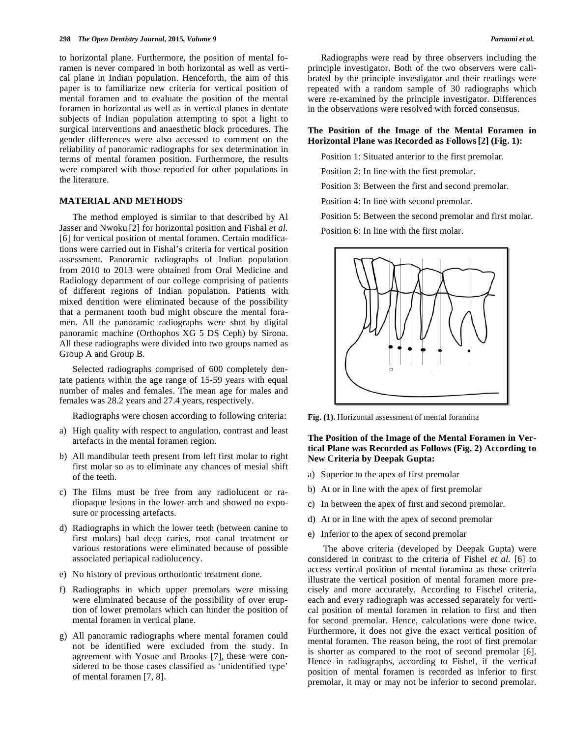to horizontal plane. Furthermore, the position of mental foramen is never compared in both horizontal as well as vertical plane in Indian population. Henceforth, the aim of this paper is to familiarize new criteria for vertical position of mental foramen and to evaluate the position of the mental foramen in horizontal as well as in vertical planes in dentate subjects of Indian population attempting to spot a light to surgical interventions and anaesthetic block procedures. The gender differences were also accessed to comment on the reliability of panoramic radiographs for sex determination in terms of mental foramen position. Furthermore, the results were compared with those reported for other populations in the literature.

#### **MATERIAL AND METHODS**

The method employed is similar to that described by Al Jasser and Nwoku [2] for horizontal position and Fishal *et al.*  [6] for vertical position of mental foramen. Certain modifications were carried out in Fishal's criteria for vertical position assessment. Panoramic radiographs of Indian population from 2010 to 2013 were obtained from Oral Medicine and Radiology department of our college comprising of patients of different regions of Indian population. Patients with mixed dentition were eliminated because of the possibility that a permanent tooth bud might obscure the mental foramen. All the panoramic radiographs were shot by digital panoramic machine (Orthophos XG 5 DS Ceph) by Sirona. All these radiographs were divided into two groups named as Group A and Group B.

Selected radiographs comprised of 600 completely dentate patients within the age range of 15-59 years with equal number of males and females. The mean age for males and females was 28.2 years and 27.4 years, respectively.

Radiographs were chosen according to following criteria:

- a) High quality with respect to angulation, contrast and least artefacts in the mental foramen region.
- b) All mandibular teeth present from left first molar to right first molar so as to eliminate any chances of mesial shift of the teeth.
- c) The films must be free from any radiolucent or radiopaque lesions in the lower arch and showed no exposure or processing artefacts.
- d) Radiographs in which the lower teeth (between canine to first molars) had deep caries, root canal treatment or various restorations were eliminated because of possible associated periapical radiolucency.
- e) No history of previous orthodontic treatment done.
- f) Radiographs in which upper premolars were missing were eliminated because of the possibility of over eruption of lower premolars which can hinder the position of mental foramen in vertical plane.
- g) All panoramic radiographs where mental foramen could not be identified were excluded from the study. In agreement with Yosue and Brooks [7], these were considered to be those cases classified as 'unidentified type' of mental foramen [7, 8].

Radiographs were read by three observers including the principle investigator. Both of the two observers were calibrated by the principle investigator and their readings were repeated with a random sample of 30 radiographs which were re-examined by the principle investigator. Differences in the observations were resolved with forced consensus.

## **The Position of the Image of the Mental Foramen in Horizontal Plane was Recorded as Follows[2] (Fig. 1):**

Position 1: Situated anterior to the first premolar.

Position 2: In line with the first premolar.

Position 3: Between the first and second premolar.

Position 4: In line with second premolar.

Position 5: Between the second premolar and first molar.

Position 6: In line with the first molar.



**Fig. (1).** Horizontal assessment of mental foramina

## **The Position of the Image of the Mental Foramen in Vertical Plane was Recorded as Follows (Fig. 2) According to New Criteria by Deepak Gupta:**

- a) Superior to the apex of first premolar
- b) At or in line with the apex of first premolar
- c) In between the apex of first and second premolar.
- d) At or in line with the apex of second premolar
- e) Inferior to the apex of second premolar

 The above criteria (developed by Deepak Gupta) were considered in contrast to the criteria of Fishel *et al.* [6] to access vertical position of mental foramina as these criteria illustrate the vertical position of mental foramen more precisely and more accurately. According to Fischel criteria, each and every radiograph was accessed separately for vertical position of mental foramen in relation to first and then for second premolar. Hence, calculations were done twice. Furthermore, it does not give the exact vertical position of mental foramen. The reason being, the root of first premolar is shorter as compared to the root of second premolar [6]. Hence in radiographs, according to Fishel, if the vertical position of mental foramen is recorded as inferior to first premolar, it may or may not be inferior to second premolar.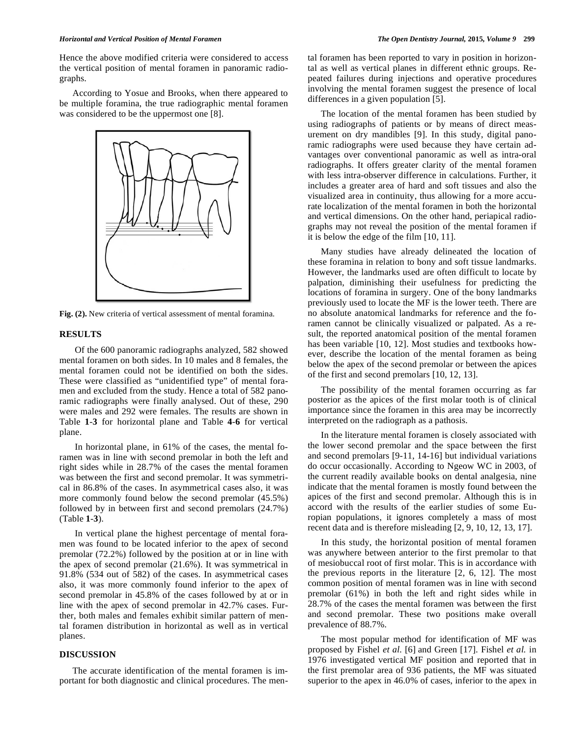#### *Horizontal and Vertical Position of Mental Foramen The Open Dentistry Journal,* **2015***, Volume 9* **299**

Hence the above modified criteria were considered to access the vertical position of mental foramen in panoramic radiographs.

According to Yosue and Brooks, when there appeared to be multiple foramina, the true radiographic mental foramen was considered to be the uppermost one [8].



**Fig. (2).** New criteria of vertical assessment of mental foramina.

## **RESULTS**

 Of the 600 panoramic radiographs analyzed, 582 showed mental foramen on both sides. In 10 males and 8 females, the mental foramen could not be identified on both the sides. These were classified as "unidentified type" of mental foramen and excluded from the study. Hence a total of 582 panoramic radiographs were finally analysed. Out of these, 290 were males and 292 were females. The results are shown in Table **1**-**3** for horizontal plane and Table **4**-**6** for vertical plane.

 In horizontal plane, in 61% of the cases, the mental foramen was in line with second premolar in both the left and right sides while in 28.7% of the cases the mental foramen was between the first and second premolar. It was symmetrical in 86.8% of the cases. In asymmetrical cases also, it was more commonly found below the second premolar (45.5%) followed by in between first and second premolars (24.7%) (Table **1**-**3**).

 In vertical plane the highest percentage of mental foramen was found to be located inferior to the apex of second premolar (72.2%) followed by the position at or in line with the apex of second premolar (21.6%). It was symmetrical in 91.8% (534 out of 582) of the cases. In asymmetrical cases also, it was more commonly found inferior to the apex of second premolar in 45.8% of the cases followed by at or in line with the apex of second premolar in 42.7% cases. Further, both males and females exhibit similar pattern of mental foramen distribution in horizontal as well as in vertical planes.

## **DISCUSSION**

The accurate identification of the mental foramen is important for both diagnostic and clinical procedures. The mental foramen has been reported to vary in position in horizontal as well as vertical planes in different ethnic groups. Repeated failures during injections and operative procedures involving the mental foramen suggest the presence of local differences in a given population [5].

The location of the mental foramen has been studied by using radiographs of patients or by means of direct measurement on dry mandibles [9]. In this study, digital panoramic radiographs were used because they have certain advantages over conventional panoramic as well as intra-oral radiographs. It offers greater clarity of the mental foramen with less intra-observer difference in calculations. Further, it includes a greater area of hard and soft tissues and also the visualized area in continuity, thus allowing for a more accurate localization of the mental foramen in both the horizontal and vertical dimensions. On the other hand, periapical radiographs may not reveal the position of the mental foramen if it is below the edge of the film [10, 11].

Many studies have already delineated the location of these foramina in relation to bony and soft tissue landmarks. However, the landmarks used are often difficult to locate by palpation, diminishing their usefulness for predicting the locations of foramina in surgery. One of the bony landmarks previously used to locate the MF is the lower teeth. There are no absolute anatomical landmarks for reference and the foramen cannot be clinically visualized or palpated. As a result, the reported anatomical position of the mental foramen has been variable [10, 12]. Most studies and textbooks however, describe the location of the mental foramen as being below the apex of the second premolar or between the apices of the first and second premolars [10, 12, 13].

The possibility of the mental foramen occurring as far posterior as the apices of the first molar tooth is of clinical importance since the foramen in this area may be incorrectly interpreted on the radiograph as a pathosis.

In the literature mental foramen is closely associated with the lower second premolar and the space between the first and second premolars [9-11, 14-16] but individual variations do occur occasionally. According to Ngeow WC in 2003, of the current readily available books on dental analgesia, nine indicate that the mental foramen is mostly found between the apices of the first and second premolar. Although this is in accord with the results of the earlier studies of some Europian populations, it ignores completely a mass of most recent data and is therefore misleading [2, 9, 10, 12, 13, 17].

In this study, the horizontal position of mental foramen was anywhere between anterior to the first premolar to that of mesiobuccal root of first molar. This is in accordance with the previous reports in the literature [2, 6, 12]. The most common position of mental foramen was in line with second premolar (61%) in both the left and right sides while in 28.7% of the cases the mental foramen was between the first and second premolar. These two positions make overall prevalence of 88.7%.

The most popular method for identification of MF was proposed by Fishel *et al.* [6] and Green [17]. Fishel *et al.* in 1976 investigated vertical MF position and reported that in the first premolar area of 936 patients, the MF was situated superior to the apex in 46.0% of cases, inferior to the apex in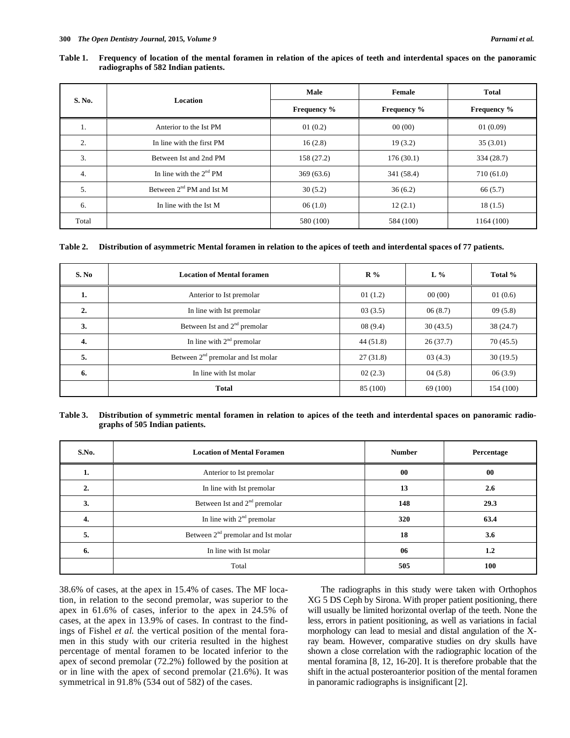#### **Table 1. Frequency of location of the mental foramen in relation of the apices of teeth and interdental spaces on the panoramic radiographs of 582 Indian patients.**

| S. No. | Location                     | Male               | Female             | <b>Total</b>       |
|--------|------------------------------|--------------------|--------------------|--------------------|
|        |                              | <b>Frequency</b> % | <b>Frequency</b> % | <b>Frequency</b> % |
| 1.     | Anterior to the Ist PM       | 01(0.2)            | 00(00)             | 01(0.09)           |
| 2.     | In line with the first PM    | 16(2.8)            | 19(3.2)            | 35(3.01)           |
| 3.     | Between Ist and 2nd PM       | 158 (27.2)         | 176(30.1)          | 334 (28.7)         |
| 4.     | In line with the $2^{nd}$ PM | 369(63.6)          | 341 (58.4)         | 710 (61.0)         |
| 5.     | Between $2nd$ PM and Ist M   | 30(5.2)            | 36(6.2)            | 66 (5.7)           |
| 6.     | In line with the Ist M       | 06(1.0)            | 12(2.1)            | 18(1.5)            |
| Total  |                              | 580 (100)          | 584 (100)          | 1164 (100)         |

## **Table 2. Distribution of asymmetric Mental foramen in relation to the apices of teeth and interdental spaces of 77 patients.**

| S. No | <b>Location of Mental foramen</b>    | $R\%$    | $L\%$    | Total %   |
|-------|--------------------------------------|----------|----------|-----------|
| 1.    | Anterior to Ist premolar             | 01(1.2)  | 00(00)   | 01(0.6)   |
| 2.    | In line with Ist premolar            | 03(3.5)  | 06(8.7)  | 09(5.8)   |
| 3.    | Between Ist and $2nd$ premolar       | 08(9.4)  | 30(43.5) | 38 (24.7) |
| 4.    | In line with $2nd$ premolar          | 44(51.8) | 26(37.7) | 70(45.5)  |
| 5.    | Between $2nd$ premolar and Ist molar | 27(31.8) | 03(4.3)  | 30(19.5)  |
| 6.    | In line with Ist molar               | 02(2.3)  | 04(5.8)  | 06(3.9)   |
|       | <b>Total</b>                         | 85 (100) | 69 (100) | 154 (100) |

#### **Table 3. Distribution of symmetric mental foramen in relation to apices of the teeth and interdental spaces on panoramic radiographs of 505 Indian patients.**

| S.No. | <b>Location of Mental Foramen</b>        | <b>Number</b> | Percentage |
|-------|------------------------------------------|---------------|------------|
| ı.    | Anterior to Ist premolar                 | $00\,$        | $\bf{00}$  |
| 2.    | In line with Ist premolar                | 13            | 2.6        |
| 3.    | Between Ist and 2 <sup>nd</sup> premolar | 148           | 29.3       |
| 4.    | In line with $2nd$ premolar              | 320           | 63.4       |
| 5.    | Between $2nd$ premolar and Ist molar     | 18            | 3.6        |
| 6.    | In line with Ist molar                   | 06            | 1.2        |
|       | Total                                    | 505           | 100        |

38.6% of cases, at the apex in 15.4% of cases. The MF location, in relation to the second premolar, was superior to the apex in 61.6% of cases, inferior to the apex in 24.5% of cases, at the apex in 13.9% of cases. In contrast to the findings of Fishel *et al.* the vertical position of the mental foramen in this study with our criteria resulted in the highest percentage of mental foramen to be located inferior to the apex of second premolar (72.2%) followed by the position at or in line with the apex of second premolar (21.6%). It was symmetrical in 91.8% (534 out of 582) of the cases.

The radiographs in this study were taken with Orthophos XG 5 DS Ceph by Sirona. With proper patient positioning, there will usually be limited horizontal overlap of the teeth. None the less, errors in patient positioning, as well as variations in facial morphology can lead to mesial and distal angulation of the Xray beam. However, comparative studies on dry skulls have shown a close correlation with the radiographic location of the mental foramina [8, 12, 16-20]. It is therefore probable that the shift in the actual posteroanterior position of the mental foramen in panoramic radiographs is insignificant [2].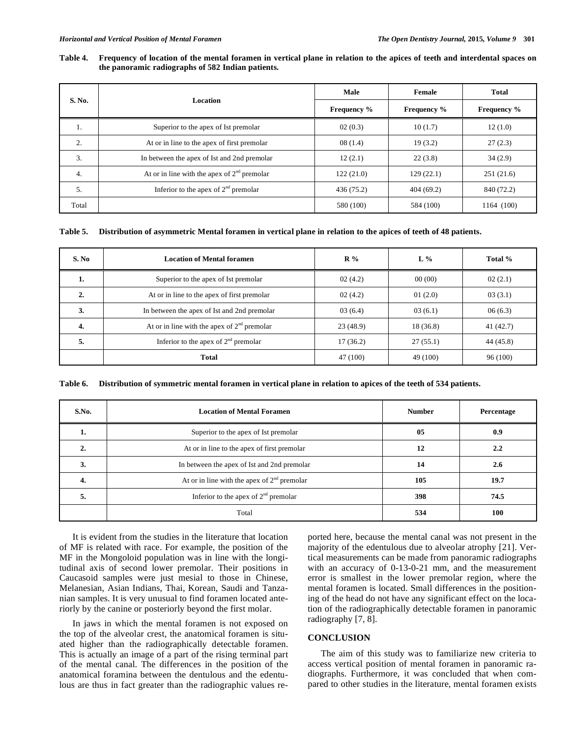#### **Table 4. Frequency of location of the mental foramen in vertical plane in relation to the apices of teeth and interdental spaces on the panoramic radiographs of 582 Indian patients.**

| S. No. | Location                                      | Male               | Female             | Total              |
|--------|-----------------------------------------------|--------------------|--------------------|--------------------|
|        |                                               | <b>Frequency</b> % | <b>Frequency</b> % | <b>Frequency</b> % |
| 1.     | Superior to the apex of Ist premolar          | 02(0.3)            | 10(1.7)            | 12(1.0)            |
| 2.     | At or in line to the apex of first premolar   | 08(1.4)            | 19(3.2)            | 27(2.3)            |
| 3.     | In between the apex of Ist and 2nd premolar   | 12(2.1)            | 22(3.8)            | 34(2.9)            |
| 4.     | At or in line with the apex of $2nd$ premolar | 122(21.0)          | 129(22.1)          | 251(21.6)          |
| 5.     | Inferior to the apex of $2nd$ premolar        | 436 (75.2)         | 404(69.2)          | 840 (72.2)         |
| Total  |                                               | 580 (100)          | 584 (100)          | 1164 (100)         |

## **Table 5. Distribution of asymmetric Mental foramen in vertical plane in relation to the apices of teeth of 48 patients.**

| S. No | <b>Location of Mental foramen</b>             | $\mathbb{R} \%$ | $L\%$     | Total %   |
|-------|-----------------------------------------------|-----------------|-----------|-----------|
| 1.    | Superior to the apex of Ist premolar          | 02(4.2)         | 00(00)    | 02(2.1)   |
| 2.    | At or in line to the apex of first premolar   | 02(4.2)         | 01(2.0)   | 03(3.1)   |
| 3.    | In between the apex of Ist and 2nd premolar   | 03(6.4)         | 03(6.1)   | 06(6.3)   |
| 4.    | At or in line with the apex of $2nd$ premolar | 23(48.9)        | 18 (36.8) | 41(42.7)  |
| 5.    | Inferior to the apex of $2nd$ premolar        | 17(36.2)        | 27(55.1)  | 44 (45.8) |
|       | <b>Total</b>                                  | 47 (100)        | 49 (100)  | 96 (100)  |

**Table 6. Distribution of symmetric mental foramen in vertical plane in relation to apices of the teeth of 534 patients.** 

| S.No. | <b>Location of Mental Foramen</b>             | <b>Number</b> | Percentage |
|-------|-----------------------------------------------|---------------|------------|
|       | Superior to the apex of Ist premolar          | 05            | 0.9        |
|       | At or in line to the apex of first premolar   | 12            | 2.2        |
| 3.    | In between the apex of Ist and 2nd premolar   | 14            | 2.6        |
| 4.    | At or in line with the apex of $2nd$ premolar | 105           | 19.7       |
| 5.    | Inferior to the apex of $2nd$ premolar        | 398           | 74.5       |
|       | Total                                         | 534           | 100        |

It is evident from the studies in the literature that location of MF is related with race. For example, the position of the MF in the Mongoloid population was in line with the longitudinal axis of second lower premolar. Their positions in Caucasoid samples were just mesial to those in Chinese, Melanesian, Asian Indians, Thai, Korean, Saudi and Tanzanian samples. It is very unusual to find foramen located anteriorly by the canine or posteriorly beyond the first molar.

In jaws in which the mental foramen is not exposed on the top of the alveolar crest, the anatomical foramen is situated higher than the radiographically detectable foramen. This is actually an image of a part of the rising terminal part of the mental canal. The differences in the position of the anatomical foramina between the dentulous and the edentulous are thus in fact greater than the radiographic values reported here, because the mental canal was not present in the majority of the edentulous due to alveolar atrophy [21]. Vertical measurements can be made from panoramic radiographs with an accuracy of 0-13-0-21 mm, and the measurement error is smallest in the lower premolar region, where the mental foramen is located. Small differences in the positioning of the head do not have any significant effect on the location of the radiographically detectable foramen in panoramic radiography [7, 8].

## **CONCLUSION**

The aim of this study was to familiarize new criteria to access vertical position of mental foramen in panoramic radiographs. Furthermore, it was concluded that when compared to other studies in the literature, mental foramen exists